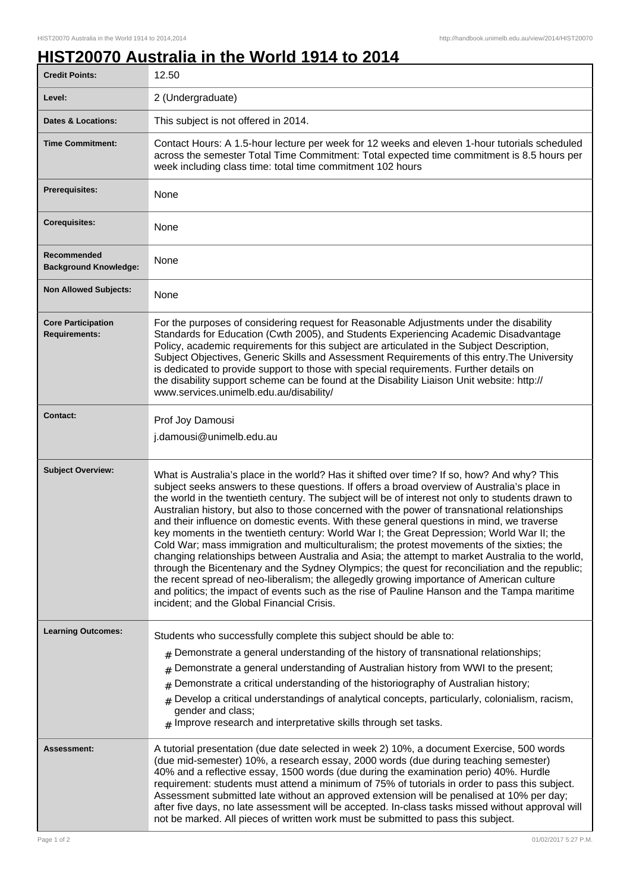٦

## **HIST20070 Australia in the World 1914 to 2014**

| <b>Credit Points:</b>                             | 12.50                                                                                                                                                                                                                                                                                                                                                                                                                                                                                                                                                                                                                                                                                                                                                                                                                                                                                                                                                                                                                                                                                                                                        |
|---------------------------------------------------|----------------------------------------------------------------------------------------------------------------------------------------------------------------------------------------------------------------------------------------------------------------------------------------------------------------------------------------------------------------------------------------------------------------------------------------------------------------------------------------------------------------------------------------------------------------------------------------------------------------------------------------------------------------------------------------------------------------------------------------------------------------------------------------------------------------------------------------------------------------------------------------------------------------------------------------------------------------------------------------------------------------------------------------------------------------------------------------------------------------------------------------------|
| Level:                                            | 2 (Undergraduate)                                                                                                                                                                                                                                                                                                                                                                                                                                                                                                                                                                                                                                                                                                                                                                                                                                                                                                                                                                                                                                                                                                                            |
| <b>Dates &amp; Locations:</b>                     | This subject is not offered in 2014.                                                                                                                                                                                                                                                                                                                                                                                                                                                                                                                                                                                                                                                                                                                                                                                                                                                                                                                                                                                                                                                                                                         |
| <b>Time Commitment:</b>                           | Contact Hours: A 1.5-hour lecture per week for 12 weeks and eleven 1-hour tutorials scheduled<br>across the semester Total Time Commitment: Total expected time commitment is 8.5 hours per<br>week including class time: total time commitment 102 hours                                                                                                                                                                                                                                                                                                                                                                                                                                                                                                                                                                                                                                                                                                                                                                                                                                                                                    |
| <b>Prerequisites:</b>                             | None                                                                                                                                                                                                                                                                                                                                                                                                                                                                                                                                                                                                                                                                                                                                                                                                                                                                                                                                                                                                                                                                                                                                         |
| <b>Corequisites:</b>                              | None                                                                                                                                                                                                                                                                                                                                                                                                                                                                                                                                                                                                                                                                                                                                                                                                                                                                                                                                                                                                                                                                                                                                         |
| Recommended<br><b>Background Knowledge:</b>       | None                                                                                                                                                                                                                                                                                                                                                                                                                                                                                                                                                                                                                                                                                                                                                                                                                                                                                                                                                                                                                                                                                                                                         |
| <b>Non Allowed Subjects:</b>                      | None                                                                                                                                                                                                                                                                                                                                                                                                                                                                                                                                                                                                                                                                                                                                                                                                                                                                                                                                                                                                                                                                                                                                         |
| <b>Core Participation</b><br><b>Requirements:</b> | For the purposes of considering request for Reasonable Adjustments under the disability<br>Standards for Education (Cwth 2005), and Students Experiencing Academic Disadvantage<br>Policy, academic requirements for this subject are articulated in the Subject Description,<br>Subject Objectives, Generic Skills and Assessment Requirements of this entry. The University<br>is dedicated to provide support to those with special requirements. Further details on<br>the disability support scheme can be found at the Disability Liaison Unit website: http://<br>www.services.unimelb.edu.au/disability/                                                                                                                                                                                                                                                                                                                                                                                                                                                                                                                             |
| <b>Contact:</b>                                   | Prof Joy Damousi<br>j.damousi@unimelb.edu.au                                                                                                                                                                                                                                                                                                                                                                                                                                                                                                                                                                                                                                                                                                                                                                                                                                                                                                                                                                                                                                                                                                 |
| <b>Subject Overview:</b>                          | What is Australia's place in the world? Has it shifted over time? If so, how? And why? This<br>subject seeks answers to these questions. If offers a broad overview of Australia's place in<br>the world in the twentieth century. The subject will be of interest not only to students drawn to<br>Australian history, but also to those concerned with the power of transnational relationships<br>and their influence on domestic events. With these general questions in mind, we traverse<br>key moments in the twentieth century: World War I; the Great Depression; World War II; the<br>Cold War; mass immigration and multiculturalism; the protest movements of the sixties; the<br>changing relationships between Australia and Asia; the attempt to market Australia to the world,<br>through the Bicentenary and the Sydney Olympics; the quest for reconciliation and the republic;<br>the recent spread of neo-liberalism; the allegedly growing importance of American culture<br>and politics; the impact of events such as the rise of Pauline Hanson and the Tampa maritime<br>incident; and the Global Financial Crisis. |
| <b>Learning Outcomes:</b>                         | Students who successfully complete this subject should be able to:<br>$*$ Demonstrate a general understanding of the history of transnational relationships;<br>Demonstrate a general understanding of Australian history from WWI to the present;<br>#<br>Demonstrate a critical understanding of the historiography of Australian history;<br>#<br>Develop a critical understandings of analytical concepts, particularly, colonialism, racism,<br>#<br>gender and class;<br>$#$ Improve research and interpretative skills through set tasks.                                                                                                                                                                                                                                                                                                                                                                                                                                                                                                                                                                                             |
| Assessment:                                       | A tutorial presentation (due date selected in week 2) 10%, a document Exercise, 500 words<br>(due mid-semester) 10%, a research essay, 2000 words (due during teaching semester)<br>40% and a reflective essay, 1500 words (due during the examination perio) 40%. Hurdle<br>requirement: students must attend a minimum of 75% of tutorials in order to pass this subject.<br>Assessment submitted late without an approved extension will be penalised at 10% per day;<br>after five days, no late assessment will be accepted. In-class tasks missed without approval will<br>not be marked. All pieces of written work must be submitted to pass this subject.                                                                                                                                                                                                                                                                                                                                                                                                                                                                           |